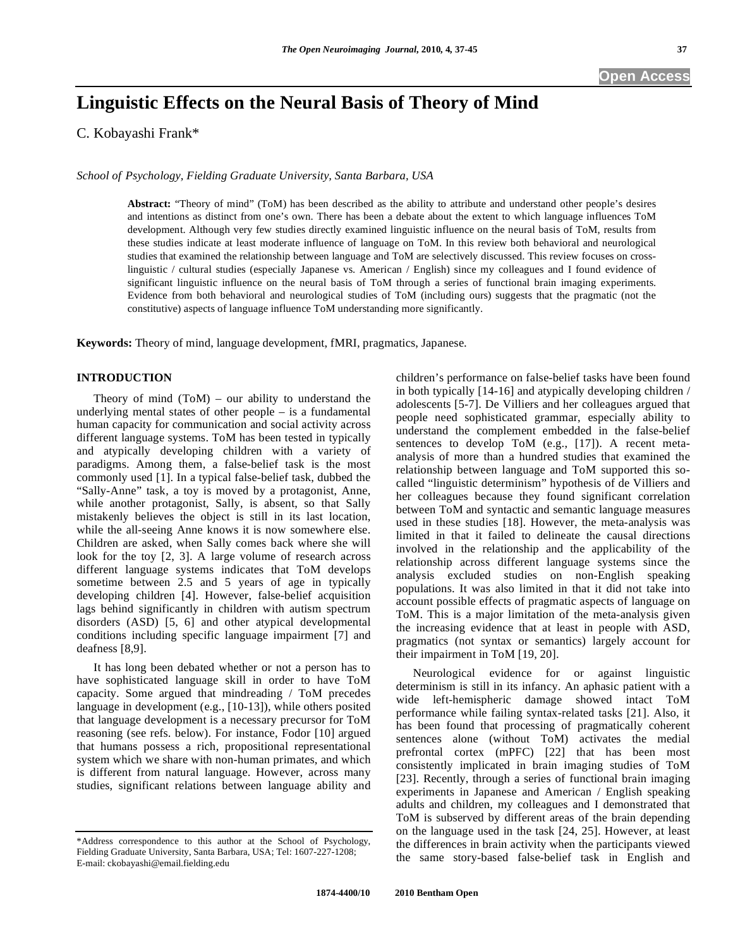# **Linguistic Effects on the Neural Basis of Theory of Mind**

C. Kobayashi Frank\*

*School of Psychology, Fielding Graduate University, Santa Barbara, USA* 

**Abstract:** "Theory of mind" (ToM) has been described as the ability to attribute and understand other people's desires and intentions as distinct from one's own. There has been a debate about the extent to which language influences ToM development. Although very few studies directly examined linguistic influence on the neural basis of ToM, results from these studies indicate at least moderate influence of language on ToM. In this review both behavioral and neurological studies that examined the relationship between language and ToM are selectively discussed. This review focuses on crosslinguistic / cultural studies (especially Japanese vs. American / English) since my colleagues and I found evidence of significant linguistic influence on the neural basis of ToM through a series of functional brain imaging experiments. Evidence from both behavioral and neurological studies of ToM (including ours) suggests that the pragmatic (not the constitutive) aspects of language influence ToM understanding more significantly.

**Keywords:** Theory of mind, language development, fMRI, pragmatics, Japanese.

# **INTRODUCTION**

Theory of mind  $(ToM)$  – our ability to understand the underlying mental states of other people – is a fundamental human capacity for communication and social activity across different language systems. ToM has been tested in typically and atypically developing children with a variety of paradigms. Among them, a false-belief task is the most commonly used [1]. In a typical false-belief task, dubbed the "Sally-Anne" task, a toy is moved by a protagonist, Anne, while another protagonist, Sally, is absent, so that Sally mistakenly believes the object is still in its last location, while the all-seeing Anne knows it is now somewhere else. Children are asked, when Sally comes back where she will look for the toy [2, 3]. A large volume of research across different language systems indicates that ToM develops sometime between 2.5 and 5 years of age in typically developing children [4]. However, false-belief acquisition lags behind significantly in children with autism spectrum disorders (ASD) [5, 6] and other atypical developmental conditions including specific language impairment [7] and deafness [8,9].

 It has long been debated whether or not a person has to have sophisticated language skill in order to have ToM capacity. Some argued that mindreading / ToM precedes language in development (e.g., [10-13]), while others posited that language development is a necessary precursor for ToM reasoning (see refs. below). For instance, Fodor [10] argued that humans possess a rich, propositional representational system which we share with non-human primates, and which is different from natural language. However, across many studies, significant relations between language ability and

\*Address correspondence to this author at the School of Psychology, Fielding Graduate University, Santa Barbara, USA; Tel: 1607-227-1208; E-mail: ckobayashi@email.fielding.edu

children's performance on false-belief tasks have been found in both typically [14-16] and atypically developing children / adolescents [5-7]. De Villiers and her colleagues argued that people need sophisticated grammar, especially ability to understand the complement embedded in the false-belief sentences to develop ToM (e.g., [17]). A recent metaanalysis of more than a hundred studies that examined the relationship between language and ToM supported this socalled "linguistic determinism" hypothesis of de Villiers and her colleagues because they found significant correlation between ToM and syntactic and semantic language measures used in these studies [18]. However, the meta-analysis was limited in that it failed to delineate the causal directions involved in the relationship and the applicability of the relationship across different language systems since the analysis excluded studies on non-English speaking populations. It was also limited in that it did not take into account possible effects of pragmatic aspects of language on ToM. This is a major limitation of the meta-analysis given the increasing evidence that at least in people with ASD, pragmatics (not syntax or semantics) largely account for their impairment in ToM [19, 20].

 Neurological evidence for or against linguistic determinism is still in its infancy. An aphasic patient with a wide left-hemispheric damage showed intact ToM performance while failing syntax-related tasks [21]. Also, it has been found that processing of pragmatically coherent sentences alone (without ToM) activates the medial prefrontal cortex (mPFC) [22] that has been most consistently implicated in brain imaging studies of ToM [23]. Recently, through a series of functional brain imaging experiments in Japanese and American / English speaking adults and children, my colleagues and I demonstrated that ToM is subserved by different areas of the brain depending on the language used in the task [24, 25]. However, at least the differences in brain activity when the participants viewed the same story-based false-belief task in English and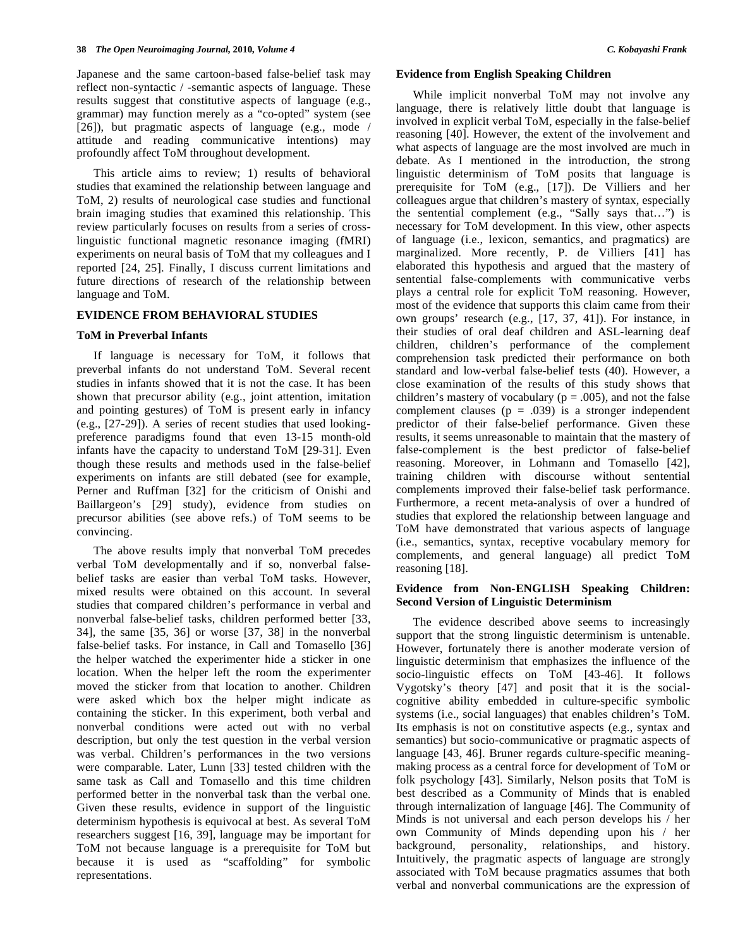Japanese and the same cartoon-based false-belief task may reflect non-syntactic / -semantic aspects of language. These results suggest that constitutive aspects of language (e.g., grammar) may function merely as a "co-opted" system (see [26]), but pragmatic aspects of language (e.g., mode / attitude and reading communicative intentions) may profoundly affect ToM throughout development.

 This article aims to review; 1) results of behavioral studies that examined the relationship between language and ToM, 2) results of neurological case studies and functional brain imaging studies that examined this relationship. This review particularly focuses on results from a series of crosslinguistic functional magnetic resonance imaging (fMRI) experiments on neural basis of ToM that my colleagues and I reported [24, 25]. Finally, I discuss current limitations and future directions of research of the relationship between language and ToM.

## **EVIDENCE FROM BEHAVIORAL STUDIES**

## **ToM in Preverbal Infants**

 If language is necessary for ToM, it follows that preverbal infants do not understand ToM. Several recent studies in infants showed that it is not the case. It has been shown that precursor ability (e.g., joint attention, imitation and pointing gestures) of ToM is present early in infancy (e.g., [27-29]). A series of recent studies that used lookingpreference paradigms found that even 13-15 month-old infants have the capacity to understand ToM [29-31]. Even though these results and methods used in the false-belief experiments on infants are still debated (see for example, Perner and Ruffman [32] for the criticism of Onishi and Baillargeon's [29] study), evidence from studies on precursor abilities (see above refs.) of ToM seems to be convincing.

 The above results imply that nonverbal ToM precedes verbal ToM developmentally and if so, nonverbal falsebelief tasks are easier than verbal ToM tasks. However, mixed results were obtained on this account. In several studies that compared children's performance in verbal and nonverbal false-belief tasks, children performed better [33, 34], the same [35, 36] or worse [37, 38] in the nonverbal false-belief tasks. For instance, in Call and Tomasello [36] the helper watched the experimenter hide a sticker in one location. When the helper left the room the experimenter moved the sticker from that location to another. Children were asked which box the helper might indicate as containing the sticker. In this experiment, both verbal and nonverbal conditions were acted out with no verbal description, but only the test question in the verbal version was verbal. Children's performances in the two versions were comparable. Later, Lunn [33] tested children with the same task as Call and Tomasello and this time children performed better in the nonverbal task than the verbal one. Given these results, evidence in support of the linguistic determinism hypothesis is equivocal at best. As several ToM researchers suggest [16, 39], language may be important for ToM not because language is a prerequisite for ToM but because it is used as "scaffolding" for symbolic representations.

## **Evidence from English Speaking Children**

 While implicit nonverbal ToM may not involve any language, there is relatively little doubt that language is involved in explicit verbal ToM, especially in the false-belief reasoning [40]. However, the extent of the involvement and what aspects of language are the most involved are much in debate. As I mentioned in the introduction, the strong linguistic determinism of ToM posits that language is prerequisite for ToM (e.g., [17]). De Villiers and her colleagues argue that children's mastery of syntax, especially the sentential complement (e.g., "Sally says that…") is necessary for ToM development. In this view, other aspects of language (i.e., lexicon, semantics, and pragmatics) are marginalized. More recently, P. de Villiers [41] has elaborated this hypothesis and argued that the mastery of sentential false-complements with communicative verbs plays a central role for explicit ToM reasoning. However, most of the evidence that supports this claim came from their own groups' research (e.g., [17, 37, 41]). For instance, in their studies of oral deaf children and ASL-learning deaf children, children's performance of the complement comprehension task predicted their performance on both standard and low-verbal false-belief tests (40). However, a close examination of the results of this study shows that children's mastery of vocabulary ( $p = .005$ ), and not the false complement clauses ( $p = .039$ ) is a stronger independent predictor of their false-belief performance. Given these results, it seems unreasonable to maintain that the mastery of false-complement is the best predictor of false-belief reasoning. Moreover, in Lohmann and Tomasello [42], training children with discourse without sentential complements improved their false-belief task performance. Furthermore, a recent meta-analysis of over a hundred of studies that explored the relationship between language and ToM have demonstrated that various aspects of language (i.e., semantics, syntax, receptive vocabulary memory for complements, and general language) all predict ToM reasoning [18].

## **Evidence from Non-ENGLISH Speaking Children: Second Version of Linguistic Determinism**

 The evidence described above seems to increasingly support that the strong linguistic determinism is untenable. However, fortunately there is another moderate version of linguistic determinism that emphasizes the influence of the socio-linguistic effects on ToM [43-46]. It follows Vygotsky's theory [47] and posit that it is the socialcognitive ability embedded in culture-specific symbolic systems (i.e., social languages) that enables children's ToM. Its emphasis is not on constitutive aspects (e.g., syntax and semantics) but socio-communicative or pragmatic aspects of language [43, 46]. Bruner regards culture-specific meaningmaking process as a central force for development of ToM or folk psychology [43]. Similarly, Nelson posits that ToM is best described as a Community of Minds that is enabled through internalization of language [46]. The Community of Minds is not universal and each person develops his / her own Community of Minds depending upon his / her background, personality, relationships, and history. Intuitively, the pragmatic aspects of language are strongly associated with ToM because pragmatics assumes that both verbal and nonverbal communications are the expression of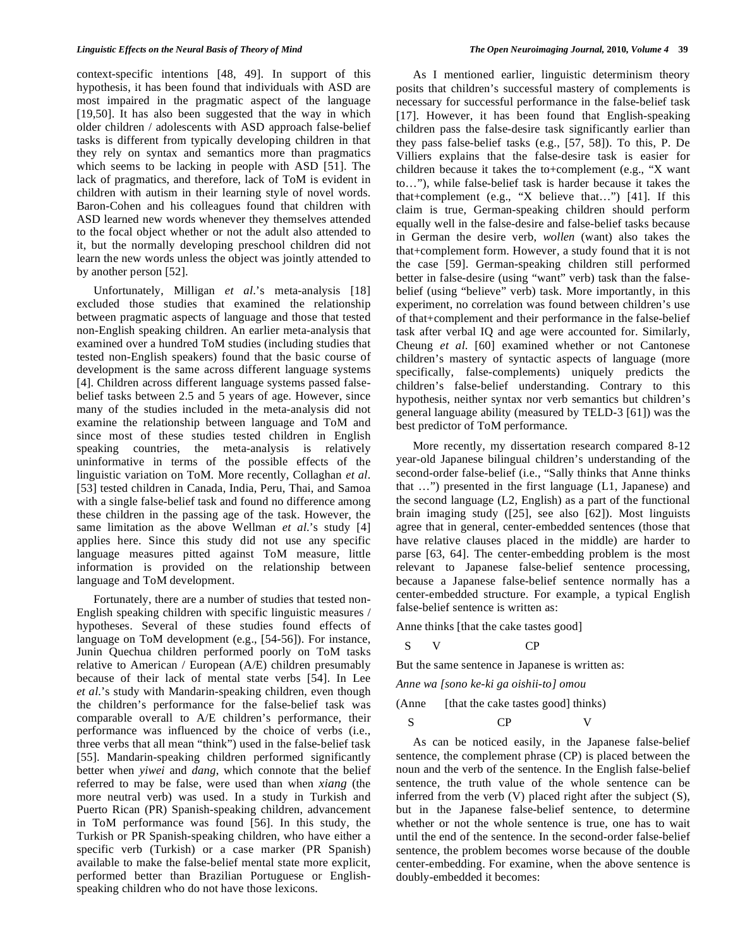context-specific intentions [48, 49]. In support of this hypothesis, it has been found that individuals with ASD are most impaired in the pragmatic aspect of the language [19,50]. It has also been suggested that the way in which older children / adolescents with ASD approach false-belief tasks is different from typically developing children in that they rely on syntax and semantics more than pragmatics which seems to be lacking in people with ASD [51]. The lack of pragmatics, and therefore, lack of ToM is evident in children with autism in their learning style of novel words. Baron-Cohen and his colleagues found that children with ASD learned new words whenever they themselves attended to the focal object whether or not the adult also attended to it, but the normally developing preschool children did not learn the new words unless the object was jointly attended to by another person [52].

 Unfortunately, Milligan *et al*.'s meta-analysis [18] excluded those studies that examined the relationship between pragmatic aspects of language and those that tested non-English speaking children. An earlier meta-analysis that examined over a hundred ToM studies (including studies that tested non-English speakers) found that the basic course of development is the same across different language systems [4]. Children across different language systems passed falsebelief tasks between 2.5 and 5 years of age. However, since many of the studies included in the meta-analysis did not examine the relationship between language and ToM and since most of these studies tested children in English speaking countries, the meta-analysis is relatively uninformative in terms of the possible effects of the linguistic variation on ToM. More recently, Collaghan *et al*. [53] tested children in Canada, India, Peru, Thai, and Samoa with a single false-belief task and found no difference among these children in the passing age of the task. However, the same limitation as the above Wellman *et al*.'s study [4] applies here. Since this study did not use any specific language measures pitted against ToM measure, little information is provided on the relationship between language and ToM development.

 Fortunately, there are a number of studies that tested non-English speaking children with specific linguistic measures / hypotheses. Several of these studies found effects of language on ToM development (e.g., [54-56]). For instance, Junin Quechua children performed poorly on ToM tasks relative to American / European (A/E) children presumably because of their lack of mental state verbs [54]. In Lee *et al*.'s study with Mandarin-speaking children, even though the children's performance for the false-belief task was comparable overall to A/E children's performance, their performance was influenced by the choice of verbs (i.e., three verbs that all mean "think") used in the false-belief task [55]. Mandarin-speaking children performed significantly better when *yiwei* and *dang*, which connote that the belief referred to may be false, were used than when *xiang* (the more neutral verb) was used. In a study in Turkish and Puerto Rican (PR) Spanish-speaking children, advancement in ToM performance was found [56]. In this study, the Turkish or PR Spanish-speaking children, who have either a specific verb (Turkish) or a case marker (PR Spanish) available to make the false-belief mental state more explicit, performed better than Brazilian Portuguese or Englishspeaking children who do not have those lexicons.

 As I mentioned earlier, linguistic determinism theory posits that children's successful mastery of complements is necessary for successful performance in the false-belief task [17]. However, it has been found that English-speaking children pass the false-desire task significantly earlier than they pass false-belief tasks (e.g., [57, 58]). To this, P. De Villiers explains that the false-desire task is easier for children because it takes the to+complement (e.g., "X want to…"), while false-belief task is harder because it takes the that+complement (e.g., "X believe that…") [41]. If this claim is true, German-speaking children should perform equally well in the false-desire and false-belief tasks because in German the desire verb, *wollen* (want) also takes the that+complement form. However, a study found that it is not the case [59]. German-speaking children still performed better in false-desire (using "want" verb) task than the falsebelief (using "believe" verb) task. More importantly, in this experiment, no correlation was found between children's use of that+complement and their performance in the false-belief task after verbal IQ and age were accounted for. Similarly, Cheung *et al*. [60] examined whether or not Cantonese children's mastery of syntactic aspects of language (more specifically, false-complements) uniquely predicts the children's false-belief understanding. Contrary to this hypothesis, neither syntax nor verb semantics but children's general language ability (measured by TELD-3 [61]) was the best predictor of ToM performance.

 More recently, my dissertation research compared 8-12 year-old Japanese bilingual children's understanding of the second-order false-belief (i.e., "Sally thinks that Anne thinks that …") presented in the first language (L1, Japanese) and the second language (L2, English) as a part of the functional brain imaging study ([25], see also [62]). Most linguists agree that in general, center-embedded sentences (those that have relative clauses placed in the middle) are harder to parse [63, 64]. The center-embedding problem is the most relevant to Japanese false-belief sentence processing, because a Japanese false-belief sentence normally has a center-embedded structure. For example, a typical English false-belief sentence is written as:

Anne thinks [that the cake tastes good]

$$
S \tV
$$
 CP

But the same sentence in Japanese is written as:

*Anne wa [sono ke-ki ga oishii-to] omou* 

(Anne [that the cake tastes good] thinks)

S CP V

 As can be noticed easily, in the Japanese false-belief sentence, the complement phrase (CP) is placed between the noun and the verb of the sentence. In the English false-belief sentence, the truth value of the whole sentence can be inferred from the verb (V) placed right after the subject (S), but in the Japanese false-belief sentence, to determine whether or not the whole sentence is true, one has to wait until the end of the sentence. In the second-order false-belief sentence, the problem becomes worse because of the double center-embedding. For examine, when the above sentence is doubly-embedded it becomes: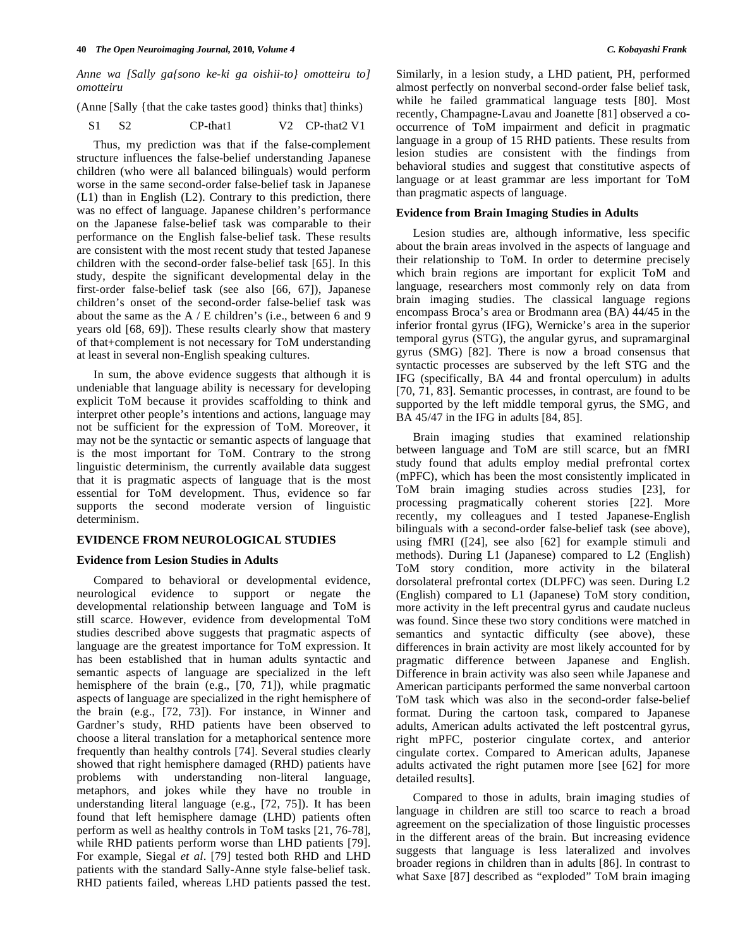*Anne wa [Sally ga{sono ke-ki ga oishii-to} omotteiru to] omotteiru* 

(Anne [Sally {that the cake tastes good} thinks that] thinks)

S1 S2 CP-that1 V2 CP-that2 V1

 Thus, my prediction was that if the false-complement structure influences the false-belief understanding Japanese children (who were all balanced bilinguals) would perform worse in the same second-order false-belief task in Japanese (L1) than in English (L2). Contrary to this prediction, there was no effect of language. Japanese children's performance on the Japanese false-belief task was comparable to their performance on the English false-belief task. These results are consistent with the most recent study that tested Japanese children with the second-order false-belief task [65]. In this study, despite the significant developmental delay in the first-order false-belief task (see also [66, 67]), Japanese children's onset of the second-order false-belief task was about the same as the A / E children's (i.e., between 6 and 9 years old [68, 69]). These results clearly show that mastery of that+complement is not necessary for ToM understanding at least in several non-English speaking cultures.

 In sum, the above evidence suggests that although it is undeniable that language ability is necessary for developing explicit ToM because it provides scaffolding to think and interpret other people's intentions and actions, language may not be sufficient for the expression of ToM. Moreover, it may not be the syntactic or semantic aspects of language that is the most important for ToM. Contrary to the strong linguistic determinism, the currently available data suggest that it is pragmatic aspects of language that is the most essential for ToM development. Thus, evidence so far supports the second moderate version of linguistic determinism.

## **EVIDENCE FROM NEUROLOGICAL STUDIES**

## **Evidence from Lesion Studies in Adults**

 Compared to behavioral or developmental evidence, neurological evidence to support or negate the developmental relationship between language and ToM is still scarce. However, evidence from developmental ToM studies described above suggests that pragmatic aspects of language are the greatest importance for ToM expression. It has been established that in human adults syntactic and semantic aspects of language are specialized in the left hemisphere of the brain (e.g., [70, 71]), while pragmatic aspects of language are specialized in the right hemisphere of the brain (e.g., [72, 73]). For instance, in Winner and Gardner's study, RHD patients have been observed to choose a literal translation for a metaphorical sentence more frequently than healthy controls [74]. Several studies clearly showed that right hemisphere damaged (RHD) patients have problems with understanding non-literal language, metaphors, and jokes while they have no trouble in understanding literal language (e.g., [72, 75]). It has been found that left hemisphere damage (LHD) patients often perform as well as healthy controls in ToM tasks [21, 76-78], while RHD patients perform worse than LHD patients [79]. For example, Siegal *et al*. [79] tested both RHD and LHD patients with the standard Sally-Anne style false-belief task. RHD patients failed, whereas LHD patients passed the test.

Similarly, in a lesion study, a LHD patient, PH, performed almost perfectly on nonverbal second-order false belief task, while he failed grammatical language tests [80]. Most recently, Champagne-Lavau and Joanette [81] observed a cooccurrence of ToM impairment and deficit in pragmatic language in a group of 15 RHD patients. These results from lesion studies are consistent with the findings from behavioral studies and suggest that constitutive aspects of language or at least grammar are less important for ToM than pragmatic aspects of language.

## **Evidence from Brain Imaging Studies in Adults**

 Lesion studies are, although informative, less specific about the brain areas involved in the aspects of language and their relationship to ToM. In order to determine precisely which brain regions are important for explicit ToM and language, researchers most commonly rely on data from brain imaging studies. The classical language regions encompass Broca's area or Brodmann area (BA) 44/45 in the inferior frontal gyrus (IFG), Wernicke's area in the superior temporal gyrus (STG), the angular gyrus, and supramarginal gyrus (SMG) [82]. There is now a broad consensus that syntactic processes are subserved by the left STG and the IFG (specifically, BA 44 and frontal operculum) in adults [70, 71, 83]. Semantic processes, in contrast, are found to be supported by the left middle temporal gyrus, the SMG, and BA 45/47 in the IFG in adults [84, 85].

 Brain imaging studies that examined relationship between language and ToM are still scarce, but an fMRI study found that adults employ medial prefrontal cortex (mPFC), which has been the most consistently implicated in ToM brain imaging studies across studies [23], for processing pragmatically coherent stories [22]. More recently, my colleagues and I tested Japanese-English bilinguals with a second-order false-belief task (see above), using fMRI ([24], see also [62] for example stimuli and methods). During L1 (Japanese) compared to L2 (English) ToM story condition, more activity in the bilateral dorsolateral prefrontal cortex (DLPFC) was seen. During L2 (English) compared to L1 (Japanese) ToM story condition, more activity in the left precentral gyrus and caudate nucleus was found. Since these two story conditions were matched in semantics and syntactic difficulty (see above), these differences in brain activity are most likely accounted for by pragmatic difference between Japanese and English. Difference in brain activity was also seen while Japanese and American participants performed the same nonverbal cartoon ToM task which was also in the second-order false-belief format. During the cartoon task, compared to Japanese adults, American adults activated the left postcentral gyrus, right mPFC, posterior cingulate cortex, and anterior cingulate cortex. Compared to American adults, Japanese adults activated the right putamen more [see [62] for more detailed results].

 Compared to those in adults, brain imaging studies of language in children are still too scarce to reach a broad agreement on the specialization of those linguistic processes in the different areas of the brain. But increasing evidence suggests that language is less lateralized and involves broader regions in children than in adults [86]. In contrast to what Saxe [87] described as "exploded" ToM brain imaging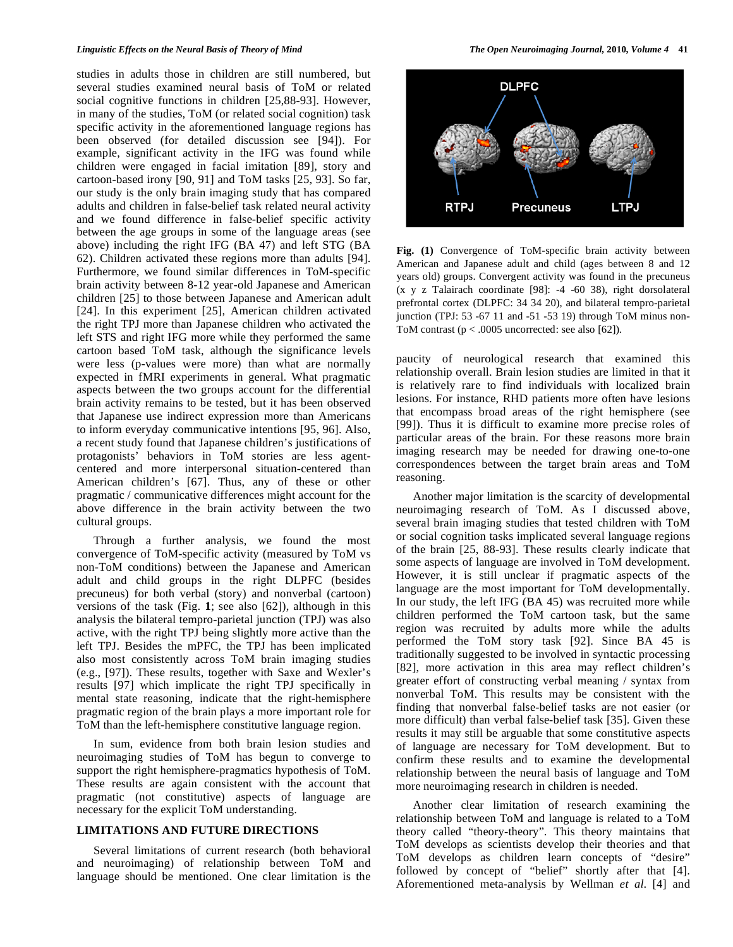#### *Linguistic Effects on the Neural Basis of Theory of Mind The Open Neuroimaging Journal,* **2010***, Volume 4* **41**

studies in adults those in children are still numbered, but several studies examined neural basis of ToM or related social cognitive functions in children [25,88-93]. However, in many of the studies, ToM (or related social cognition) task specific activity in the aforementioned language regions has been observed (for detailed discussion see [94]). For example, significant activity in the IFG was found while children were engaged in facial imitation [89], story and cartoon-based irony [90, 91] and ToM tasks [25, 93]. So far, our study is the only brain imaging study that has compared adults and children in false-belief task related neural activity and we found difference in false-belief specific activity between the age groups in some of the language areas (see above) including the right IFG (BA 47) and left STG (BA 62). Children activated these regions more than adults [94]. Furthermore, we found similar differences in ToM-specific brain activity between 8-12 year-old Japanese and American children [25] to those between Japanese and American adult [24]. In this experiment [25], American children activated the right TPJ more than Japanese children who activated the left STS and right IFG more while they performed the same cartoon based ToM task, although the significance levels were less (p-values were more) than what are normally expected in fMRI experiments in general. What pragmatic aspects between the two groups account for the differential brain activity remains to be tested, but it has been observed that Japanese use indirect expression more than Americans to inform everyday communicative intentions [95, 96]. Also, a recent study found that Japanese children's justifications of protagonists' behaviors in ToM stories are less agentcentered and more interpersonal situation-centered than American children's [67]. Thus, any of these or other pragmatic / communicative differences might account for the above difference in the brain activity between the two cultural groups.

 Through a further analysis, we found the most convergence of ToM-specific activity (measured by ToM vs non-ToM conditions) between the Japanese and American adult and child groups in the right DLPFC (besides precuneus) for both verbal (story) and nonverbal (cartoon) versions of the task (Fig. **1**; see also [62]), although in this analysis the bilateral tempro-parietal junction (TPJ) was also active, with the right TPJ being slightly more active than the left TPJ. Besides the mPFC, the TPJ has been implicated also most consistently across ToM brain imaging studies (e.g., [97]). These results, together with Saxe and Wexler's results [97] which implicate the right TPJ specifically in mental state reasoning, indicate that the right-hemisphere pragmatic region of the brain plays a more important role for ToM than the left-hemisphere constitutive language region.

 In sum, evidence from both brain lesion studies and neuroimaging studies of ToM has begun to converge to support the right hemisphere-pragmatics hypothesis of ToM. These results are again consistent with the account that pragmatic (not constitutive) aspects of language are necessary for the explicit ToM understanding.

## **LIMITATIONS AND FUTURE DIRECTIONS**

 Several limitations of current research (both behavioral and neuroimaging) of relationship between ToM and language should be mentioned. One clear limitation is the



**Fig. (1)** Convergence of ToM-specific brain activity between American and Japanese adult and child (ages between 8 and 12 years old) groups. Convergent activity was found in the precuneus (x y z Talairach coordinate [98]: -4 -60 38), right dorsolateral prefrontal cortex (DLPFC: 34 34 20), and bilateral tempro-parietal junction (TPJ: 53 -67 11 and -51 -53 19) through ToM minus non-ToM contrast  $(p < .0005$  uncorrected: see also [62]).

paucity of neurological research that examined this relationship overall. Brain lesion studies are limited in that it is relatively rare to find individuals with localized brain lesions. For instance, RHD patients more often have lesions that encompass broad areas of the right hemisphere (see [99]). Thus it is difficult to examine more precise roles of particular areas of the brain. For these reasons more brain imaging research may be needed for drawing one-to-one correspondences between the target brain areas and ToM reasoning.

 Another major limitation is the scarcity of developmental neuroimaging research of ToM. As I discussed above, several brain imaging studies that tested children with ToM or social cognition tasks implicated several language regions of the brain [25, 88-93]. These results clearly indicate that some aspects of language are involved in ToM development. However, it is still unclear if pragmatic aspects of the language are the most important for ToM developmentally. In our study, the left IFG (BA 45) was recruited more while children performed the ToM cartoon task, but the same region was recruited by adults more while the adults performed the ToM story task [92]. Since BA 45 is traditionally suggested to be involved in syntactic processing [82], more activation in this area may reflect children's greater effort of constructing verbal meaning / syntax from nonverbal ToM. This results may be consistent with the finding that nonverbal false-belief tasks are not easier (or more difficult) than verbal false-belief task [35]. Given these results it may still be arguable that some constitutive aspects of language are necessary for ToM development. But to confirm these results and to examine the developmental relationship between the neural basis of language and ToM more neuroimaging research in children is needed.

 Another clear limitation of research examining the relationship between ToM and language is related to a ToM theory called "theory-theory". This theory maintains that ToM develops as scientists develop their theories and that ToM develops as children learn concepts of "desire" followed by concept of "belief" shortly after that [4]. Aforementioned meta-analysis by Wellman *et al*. [4] and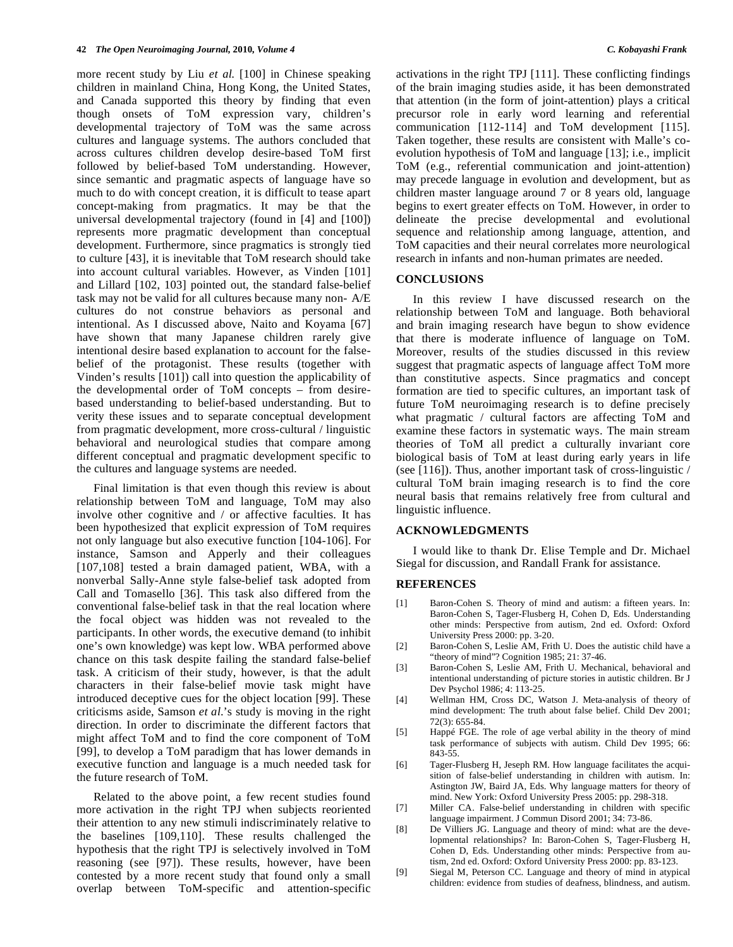more recent study by Liu *et al.* [100] in Chinese speaking children in mainland China, Hong Kong, the United States, and Canada supported this theory by finding that even though onsets of ToM expression vary, children's developmental trajectory of ToM was the same across cultures and language systems. The authors concluded that across cultures children develop desire-based ToM first followed by belief-based ToM understanding. However, since semantic and pragmatic aspects of language have so much to do with concept creation, it is difficult to tease apart concept-making from pragmatics. It may be that the universal developmental trajectory (found in [4] and [100]) represents more pragmatic development than conceptual development. Furthermore, since pragmatics is strongly tied to culture [43], it is inevitable that ToM research should take into account cultural variables. However, as Vinden [101] and Lillard [102, 103] pointed out, the standard false-belief task may not be valid for all cultures because many non- A/E cultures do not construe behaviors as personal and intentional. As I discussed above, Naito and Koyama [67] have shown that many Japanese children rarely give intentional desire based explanation to account for the falsebelief of the protagonist. These results (together with Vinden's results [101]) call into question the applicability of the developmental order of ToM concepts – from desirebased understanding to belief-based understanding. But to verity these issues and to separate conceptual development from pragmatic development, more cross-cultural / linguistic behavioral and neurological studies that compare among different conceptual and pragmatic development specific to the cultures and language systems are needed.

 Final limitation is that even though this review is about relationship between ToM and language, ToM may also involve other cognitive and / or affective faculties. It has been hypothesized that explicit expression of ToM requires not only language but also executive function [104-106]. For instance, Samson and Apperly and their colleagues [107,108] tested a brain damaged patient, WBA, with a nonverbal Sally-Anne style false-belief task adopted from Call and Tomasello [36]. This task also differed from the conventional false-belief task in that the real location where the focal object was hidden was not revealed to the participants. In other words, the executive demand (to inhibit one's own knowledge) was kept low. WBA performed above chance on this task despite failing the standard false-belief task. A criticism of their study, however, is that the adult characters in their false-belief movie task might have introduced deceptive cues for the object location [99]. These criticisms aside, Samson *et al*.'s study is moving in the right direction. In order to discriminate the different factors that might affect ToM and to find the core component of ToM [99], to develop a ToM paradigm that has lower demands in executive function and language is a much needed task for the future research of ToM.

 Related to the above point, a few recent studies found more activation in the right TPJ when subjects reoriented their attention to any new stimuli indiscriminately relative to the baselines [109,110]. These results challenged the hypothesis that the right TPJ is selectively involved in ToM reasoning (see [97]). These results, however, have been contested by a more recent study that found only a small overlap between ToM-specific and attention-specific

activations in the right TPJ [111]. These conflicting findings of the brain imaging studies aside, it has been demonstrated that attention (in the form of joint-attention) plays a critical precursor role in early word learning and referential communication [112-114] and ToM development [115]. Taken together, these results are consistent with Malle's coevolution hypothesis of ToM and language [13]; i.e., implicit ToM (e.g., referential communication and joint-attention) may precede language in evolution and development, but as children master language around 7 or 8 years old, language begins to exert greater effects on ToM. However, in order to delineate the precise developmental and evolutional sequence and relationship among language, attention, and ToM capacities and their neural correlates more neurological research in infants and non-human primates are needed.

### **CONCLUSIONS**

 In this review I have discussed research on the relationship between ToM and language. Both behavioral and brain imaging research have begun to show evidence that there is moderate influence of language on ToM. Moreover, results of the studies discussed in this review suggest that pragmatic aspects of language affect ToM more than constitutive aspects. Since pragmatics and concept formation are tied to specific cultures, an important task of future ToM neuroimaging research is to define precisely what pragmatic / cultural factors are affecting ToM and examine these factors in systematic ways. The main stream theories of ToM all predict a culturally invariant core biological basis of ToM at least during early years in life (see [116]). Thus, another important task of cross-linguistic / cultural ToM brain imaging research is to find the core neural basis that remains relatively free from cultural and linguistic influence.

## **ACKNOWLEDGMENTS**

 I would like to thank Dr. Elise Temple and Dr. Michael Siegal for discussion, and Randall Frank for assistance.

#### **REFERENCES**

- [1] Baron-Cohen S. Theory of mind and autism: a fifteen years. In: Baron-Cohen S, Tager-Flusberg H, Cohen D, Eds. Understanding other minds: Perspective from autism, 2nd ed. Oxford: Oxford University Press 2000: pp. 3-20.
- [2] Baron-Cohen S, Leslie AM, Frith U. Does the autistic child have a "theory of mind"? Cognition 1985; 21: 37-46.
- [3] Baron-Cohen S, Leslie AM, Frith U. Mechanical, behavioral and intentional understanding of picture stories in autistic children. Br J Dev Psychol 1986; 4: 113-25.
- [4] Wellman HM, Cross DC, Watson J. Meta-analysis of theory of mind development: The truth about false belief. Child Dev 2001; 72(3): 655-84.
- [5] Happé FGE. The role of age verbal ability in the theory of mind task performance of subjects with autism. Child Dev 1995; 66: 843-55.
- [6] Tager-Flusberg H, Jeseph RM. How language facilitates the acquisition of false-belief understanding in children with autism. In: Astington JW, Baird JA, Eds. Why language matters for theory of mind. New York: Oxford University Press 2005: pp. 298-318.
- [7] Miller CA. False-belief understanding in children with specific language impairment. J Commun Disord 2001; 34: 73-86.
- [8] De Villiers JG. Language and theory of mind: what are the developmental relationships? In: Baron-Cohen S, Tager-Flusberg H, Cohen D, Eds. Understanding other minds: Perspective from autism, 2nd ed. Oxford: Oxford University Press 2000: pp. 83-123.
- [9] Siegal M, Peterson CC. Language and theory of mind in atypical children: evidence from studies of deafness, blindness, and autism.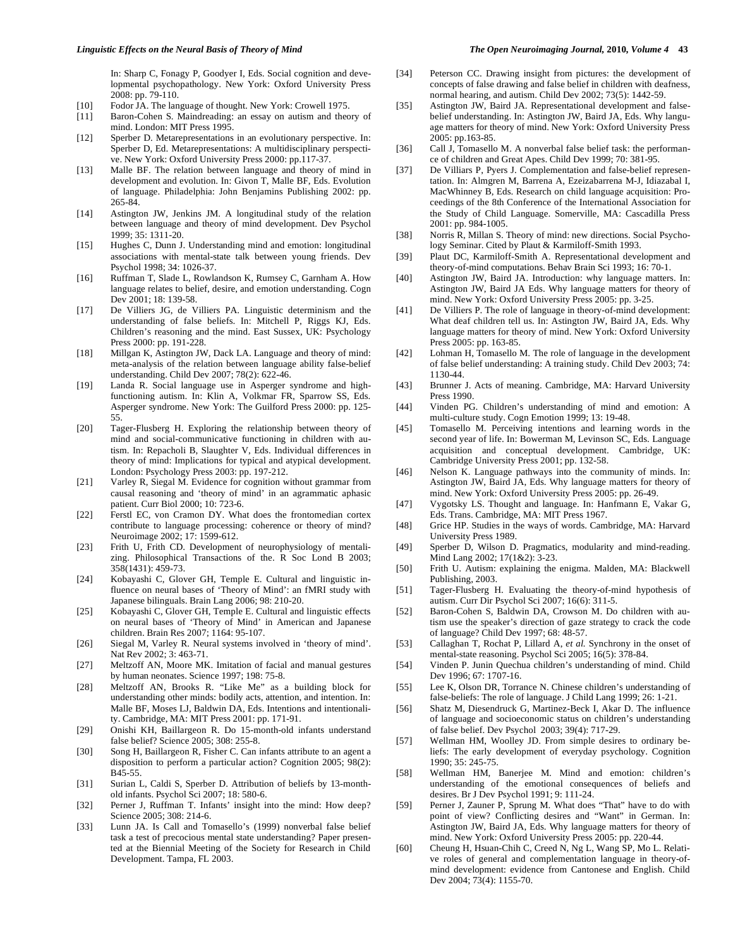In: Sharp C, Fonagy P, Goodyer I, Eds. Social cognition and developmental psychopathology. New York: Oxford University Press 2008: pp. 79-110.

- [10] Fodor JA. The language of thought. New York: Crowell 1975.<br>[11] Baron-Cohen S. Maindreading: an essay on autism and theo
- Baron-Cohen S. Maindreading: an essay on autism and theory of mind. London: MIT Press 1995.
- [12] Sperber D. Metarepresentations in an evolutionary perspective. In: Sperber D, Ed. Metarepresentations: A multidisciplinary perspective. New York: Oxford University Press 2000: pp.117-37.
- [13] Malle BF. The relation between language and theory of mind in development and evolution. In: Givon T, Malle BF, Eds. Evolution of language. Philadelphia: John Benjamins Publishing 2002: pp. 265-84.
- [14] Astington JW, Jenkins JM. A longitudinal study of the relation between language and theory of mind development. Dev Psychol 1999; 35: 1311-20.
- [15] Hughes C, Dunn J. Understanding mind and emotion: longitudinal associations with mental-state talk between young friends. Dev Psychol 1998; 34: 1026-37.
- [16] Ruffman T, Slade L, Rowlandson K, Rumsey C, Garnham A. How language relates to belief, desire, and emotion understanding. Cogn Dev 2001; 18: 139-58.
- [17] De Villiers JG, de Villiers PA. Linguistic determinism and the understanding of false beliefs. In: Mitchell P, Riggs KJ, Eds. Children's reasoning and the mind. East Sussex, UK: Psychology Press 2000: pp. 191-228.
- [18] Millgan K, Astington JW, Dack LA. Language and theory of mind: meta-analysis of the relation between language ability false-belief understanding. Child Dev 2007; 78(2): 622-46.
- [19] Landa R. Social language use in Asperger syndrome and highfunctioning autism. In: Klin A, Volkmar FR, Sparrow SS, Eds. Asperger syndrome. New York: The Guilford Press 2000: pp. 125- 55.
- [20] Tager-Flusberg H. Exploring the relationship between theory of mind and social-communicative functioning in children with autism. In: Repacholi B, Slaughter V, Eds. Individual differences in theory of mind: Implications for typical and atypical development. London: Psychology Press 2003: pp. 197-212.
- [21] Varley R, Siegal M. Evidence for cognition without grammar from causal reasoning and 'theory of mind' in an agrammatic aphasic patient. Curr Biol 2000; 10: 723-6.
- [22] Ferstl EC, von Cramon DY. What does the frontomedian cortex contribute to language processing: coherence or theory of mind? Neuroimage 2002; 17: 1599-612.
- [23] Frith U, Frith CD. Development of neurophysiology of mentalizing. Philosophical Transactions of the. R Soc Lond B 2003; 358(1431): 459-73.
- [24] Kobayashi C, Glover GH, Temple E. Cultural and linguistic influence on neural bases of 'Theory of Mind': an fMRI study with Japanese bilinguals. Brain Lang 2006; 98: 210-20.
- [25] Kobayashi C, Glover GH, Temple E. Cultural and linguistic effects on neural bases of 'Theory of Mind' in American and Japanese children. Brain Res 2007; 1164: 95-107.
- [26] Siegal M, Varley R. Neural systems involved in 'theory of mind'. Nat Rev 2002; 3: 463-71.
- [27] Meltzoff AN, Moore MK. Imitation of facial and manual gestures by human neonates. Science 1997; 198: 75-8.
- [28] Meltzoff AN, Brooks R. "Like Me" as a building block for understanding other minds: bodily acts, attention, and intention. In: Malle BF, Moses LJ, Baldwin DA, Eds. Intentions and intentionality. Cambridge, MA: MIT Press 2001: pp. 171-91.
- [29] Onishi KH, Baillargeon R. Do 15-month-old infants understand false belief? Science 2005; 308: 255-8.
- [30] Song H, Baillargeon R, Fisher C. Can infants attribute to an agent a disposition to perform a particular action? Cognition 2005; 98(2): B45-55.
- [31] Surian L, Caldi S, Sperber D. Attribution of beliefs by 13-monthold infants. Psychol Sci 2007; 18: 580-6.
- [32] Perner J, Ruffman T. Infants' insight into the mind: How deep? Science 2005; 308: 214-6.
- [33] Lunn JA. Is Call and Tomasello's (1999) nonverbal false belief task a test of precocious mental state understanding? Paper presented at the Biennial Meeting of the Society for Research in Child Development. Tampa, FL 2003.
- [34] Peterson CC. Drawing insight from pictures: the development of concepts of false drawing and false belief in children with deafness, normal hearing, and autism. Child Dev 2002; 73(5): 1442-59.
- [35] Astington JW, Baird JA. Representational development and falsebelief understanding. In: Astington JW, Baird JA, Eds. Why language matters for theory of mind. New York: Oxford University Press 2005: pp.163-85.
- [36] Call J, Tomasello M. A nonverbal false belief task: the performance of children and Great Apes. Child Dev 1999; 70: 381-95.
- [37] De Villiars P, Pyers J. Complementation and false-belief representation. In: Almgren M, Barrena A, Ezeizabarrena M-J, Idiazabal I, MacWhinney B, Eds. Research on child language acquisition: Proceedings of the 8th Conference of the International Association for the Study of Child Language. Somerville, MA: Cascadilla Press 2001: pp. 984-1005.
- [38] Norris R, Millan S. Theory of mind: new directions. Social Psychology Seminar. Cited by Plaut & Karmiloff-Smith 1993.
- [39] Plaut DC, Karmiloff-Smith A. Representational development and theory-of-mind computations. Behav Brain Sci 1993; 16: 70-1.
- [40] Astington JW, Baird JA. Introduction: why language matters. In: Astington JW, Baird JA Eds. Why language matters for theory of mind. New York: Oxford University Press 2005: pp. 3-25.
- [41] De Villiers P. The role of language in theory-of-mind development: What deaf children tell us. In: Astington JW, Baird JA, Eds. Why language matters for theory of mind. New York: Oxford University Press 2005: pp. 163-85.
- [42] Lohman H, Tomasello M. The role of language in the development of false belief understanding: A training study. Child Dev 2003; 74: 1130-44.
- [43] Brunner J. Acts of meaning. Cambridge, MA: Harvard University Press 1990.
- [44] Vinden PG. Children's understanding of mind and emotion: A multi-culture study. Cogn Emotion 1999; 13: 19-48.
- [45] Tomasello M. Perceiving intentions and learning words in the second year of life. In: Bowerman M, Levinson SC, Eds. Language acquisition and conceptual development. Cambridge, UK: Cambridge University Press 2001; pp. 132-58.
- [46] Nelson K. Language pathways into the community of minds. In: Astington JW, Baird JA, Eds. Why language matters for theory of mind. New York: Oxford University Press 2005: pp. 26-49.
- [47] Vygotsky LS. Thought and language. In: Hanfmann E, Vakar G, Eds. Trans. Cambridge, MA: MIT Press 1967.
- [48] Grice HP. Studies in the ways of words. Cambridge, MA: Harvard University Press 1989.
- [49] Sperber D, Wilson D. Pragmatics, modularity and mind-reading. Mind Lang 2002; 17(1&2): 3-23.
- [50] Frith U. Autism: explaining the enigma. Malden, MA: Blackwell Publishing, 2003.
- [51] Tager-Flusberg H. Evaluating the theory-of-mind hypothesis of autism. Curr Dir Psychol Sci 2007; 16(6): 311-5.
- [52] Baron-Cohen S, Baldwin DA, Crowson M. Do children with autism use the speaker's direction of gaze strategy to crack the code of language? Child Dev 1997; 68: 48-57.
- [53] Callaghan T, Rochat P, Lillard A, *et al.* Synchrony in the onset of mental-state reasoning. Psychol Sci 2005; 16(5): 378-84.
- [54] Vinden P. Junin Quechua children's understanding of mind. Child Dev 1996; 67: 1707-16.
- [55] Lee K, Olson DR, Torrance N. Chinese children's understanding of false-beliefs: The role of language. J Child Lang 1999; 26: 1-21.
- [56] Shatz M, Diesendruck G, Martinez-Beck I, Akar D. The influence of language and socioeconomic status on children's understanding of false belief. Dev Psychol 2003; 39(4): 717-29.
- [57] Wellman HM, Woolley JD. From simple desires to ordinary beliefs: The early development of everyday psychology. Cognition 1990; 35: 245-75.
- [58] Wellman HM, Banerjee M. Mind and emotion: children's understanding of the emotional consequences of beliefs and desires. Br J Dev Psychol 1991; 9: 111-24.
- [59] Perner J, Zauner P, Sprung M. What does "That" have to do with point of view? Conflicting desires and "Want" in German. In: Astington JW, Baird JA, Eds. Why language matters for theory of mind. New York: Oxford University Press 2005: pp. 220-44.
- [60] Cheung H, Hsuan-Chih C, Creed N, Ng L, Wang SP, Mo L. Relative roles of general and complementation language in theory-ofmind development: evidence from Cantonese and English. Child Dev 2004; 73(4): 1155-70.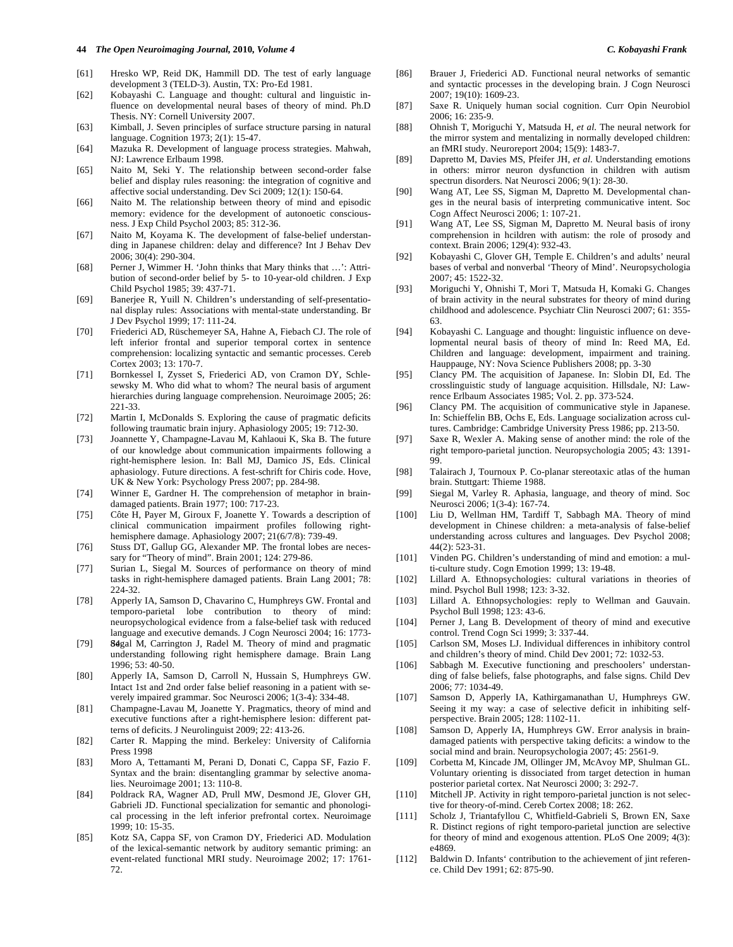- [61] Hresko WP, Reid DK, Hammill DD. The test of early language development 3 (TELD-3). Austin, TX: Pro-Ed 1981.
- [62] Kobayashi C. Language and thought: cultural and linguistic influence on developmental neural bases of theory of mind. Ph.D Thesis. NY: Cornell University 2007.
- [63] Kimball, J. Seven principles of surface structure parsing in natural language. Cognition 1973; 2(1): 15-47.
- [64] Mazuka R. Development of language process strategies. Mahwah, NJ: Lawrence Erlbaum 1998.
- [65] Naito M, Seki Y. The relationship between second-order false belief and display rules reasoning: the integration of cognitive and affective social understanding. Dev Sci 2009; 12(1): 150-64.
- [66] Naito M. The relationship between theory of mind and episodic memory: evidence for the development of autonoetic consciousness. J Exp Child Psychol 2003; 85: 312-36.
- [67] Naito M, Koyama K. The development of false-belief understanding in Japanese children: delay and difference? Int J Behav Dev 2006; 30(4): 290-304.
- [68] Perner J, Wimmer H. 'John thinks that Mary thinks that ...': Attribution of second-order belief by 5- to 10-year-old children. J Exp Child Psychol 1985; 39: 437-71.
- [69] Banerjee R, Yuill N. Children's understanding of self-presentational display rules: Associations with mental-state understanding. Br J Dev Psychol 1999; 17: 111-24.
- [70] Friederici AD, Rüschemeyer SA, Hahne A, Fiebach CJ. The role of left inferior frontal and superior temporal cortex in sentence comprehension: localizing syntactic and semantic processes. Cereb Cortex 2003; 13: 170-7.
- [71] Bornkessel I, Zysset S, Friederici AD, von Cramon DY, Schlesewsky M. Who did what to whom? The neural basis of argument hierarchies during language comprehension. Neuroimage 2005; 26: 221-33.
- [72] Martin I, McDonalds S. Exploring the cause of pragmatic deficits following traumatic brain injury. Aphasiology 2005; 19: 712-30.
- [73] Joannette Y, Champagne-Lavau M, Kahlaoui K, Ska B. The future of our knowledge about communication impairments following a right-hemisphere lesion. In: Ball MJ, Damico JS, Eds. Clinical aphasiology. Future directions. A fest-schrift for Chiris code. Hove, UK & New York: Psychology Press 2007; pp. 284-98.
- [74] Winner E, Gardner H. The comprehension of metaphor in braindamaged patients. Brain 1977; 100: 717-23.
- [75] Côte H, Payer M, Giroux F, Joanette Y. Towards a description of clinical communication impairment profiles following righthemisphere damage. Aphasiology 2007; 21(6/7/8): 739-49.
- [76] Stuss DT, Gallup GG, Alexander MP. The frontal lobes are necessary for "Theory of mind". Brain 2001; 124: 279-86.
- [77] Surian L, Siegal M. Sources of performance on theory of mind tasks in right-hemisphere damaged patients. Brain Lang 2001; 78: 224-32.
- [78] Apperly IA, Samson D, Chavarino C, Humphreys GW. Frontal and temporo-parietal lobe contribution to theory of mind: neuropsychological evidence from a false-belief task with reduced language and executive demands. J Cogn Neurosci 2004; 16: 1773-
- [79] **S4**gal M, Carrington J, Radel M. Theory of mind and pragmatic understanding following right hemisphere damage. Brain Lang 1996; 53: 40-50.
- [80] Apperly IA, Samson D, Carroll N, Hussain S, Humphreys GW. Intact 1st and 2nd order false belief reasoning in a patient with severely impaired grammar. Soc Neurosci 2006; 1(3-4): 334-48.
- [81] Champagne-Lavau M, Joanette Y. Pragmatics, theory of mind and executive functions after a right-hemisphere lesion: different patterns of deficits. J Neurolinguist 2009; 22: 413-26.
- [82] Carter R. Mapping the mind. Berkeley: University of California Press 1998
- [83] Moro A, Tettamanti M, Perani D, Donati C, Cappa SF, Fazio F. Syntax and the brain: disentangling grammar by selective anomalies. Neuroimage 2001; 13: 110-8.
- [84] Poldrack RA, Wagner AD, Prull MW, Desmond JE, Glover GH, Gabrieli JD. Functional specialization for semantic and phonological processing in the left inferior prefrontal cortex. Neuroimage 1999; 10: 15-35.
- [85] Kotz SA, Cappa SF, von Cramon DY, Friederici AD. Modulation of the lexical-semantic network by auditory semantic priming: an event-related functional MRI study. Neuroimage 2002; 17: 1761- 72.
- [86] Brauer J, Friederici AD. Functional neural networks of semantic and syntactic processes in the developing brain. J Cogn Neurosci 2007; 19(10): 1609-23.
- [87] Saxe R. Uniquely human social cognition. Curr Opin Neurobiol 2006; 16: 235-9.
- [88] Ohnish T, Moriguchi Y, Matsuda H, *et al*. The neural network for the mirror system and mentalizing in normally developed children: an fMRI study. Neuroreport 2004; 15(9): 1483-7.
- [89] Dapretto M, Davies MS, Pfeifer JH, *et al*. Understanding emotions in others: mirror neuron dysfunction in children with autism spectrun disorders. Nat Neurosci 2006; 9(1): 28-30.
- [90] Wang AT, Lee SS, Sigman M, Dapretto M. Developmental changes in the neural basis of interpreting communicative intent. Soc Cogn Affect Neurosci 2006; 1: 107-21.
- [91] Wang AT, Lee SS, Sigman M, Dapretto M. Neural basis of irony comprehension in hcildren with autism: the role of prosody and context. Brain 2006; 129(4): 932-43.
- [92] Kobayashi C, Glover GH, Temple E. Children's and adults' neural bases of verbal and nonverbal 'Theory of Mind'. Neuropsychologia 2007; 45: 1522-32.
- [93] Moriguchi Y, Ohnishi T, Mori T, Matsuda H, Komaki G. Changes of brain activity in the neural substrates for theory of mind during childhood and adolescence. Psychiatr Clin Neurosci 2007; 61: 355- 63.
- [94] Kobayashi C. Language and thought: linguistic influence on developmental neural basis of theory of mind In: Reed MA, Ed. Children and language: development, impairment and training. Hauppauge, NY: Nova Science Publishers 2008; pp. 3-30
- [95] Clancy PM. The acquisition of Japanese. In: Slobin DI, Ed. The crosslinguistic study of language acquisition. Hillsdale, NJ: Lawrence Erlbaum Associates 1985; Vol. 2. pp. 373-524.
- [96] Clancy PM. The acquisition of communicative style in Japanese. In: Schieffelin BB, Ochs E, Eds. Language socialization across cultures. Cambridge: Cambridge University Press 1986; pp. 213-50.
- [97] Saxe R, Wexler A. Making sense of another mind: the role of the right temporo-parietal junction. Neuropsychologia 2005; 43: 1391- 99.
- [98] Talairach J, Tournoux P. Co-planar stereotaxic atlas of the human brain. Stuttgart: Thieme 1988.
- [99] Siegal M, Varley R. Aphasia, language, and theory of mind. Soc Neurosci 2006; 1(3-4): 167-74.
- [100] Liu D, Wellman HM, Tardiff T, Sabbagh MA. Theory of mind development in Chinese children: a meta-analysis of false-belief understanding across cultures and languages. Dev Psychol 2008; 44(2): 523-31.
- [101] Vinden PG. Children's understanding of mind and emotion: a multi-culture study. Cogn Emotion 1999; 13: 19-48.
- [102] Lillard A. Ethnopsychologies: cultural variations in theories of mind. Psychol Bull 1998; 123: 3-32.
- [103] Lillard A. Ethnopsychologies: reply to Wellman and Gauvain. Psychol Bull 1998; 123: 43-6.
- [104] Perner J, Lang B. Development of theory of mind and executive control. Trend Cogn Sci 1999; 3: 337-44.
- [105] Carlson SM, Moses LJ. Individual differences in inhibitory control and children's theory of mind. Child Dev 2001; 72: 1032-53.
- [106] Sabbagh M. Executive functioning and preschoolers' understanding of false beliefs, false photographs, and false signs. Child Dev 2006; 77: 1034-49.
- [107] Samson D, Apperly IA, Kathirgamanathan U, Humphreys GW. Seeing it my way: a case of selective deficit in inhibiting selfperspective. Brain 2005; 128: 1102-11.
- [108] Samson D, Apperly IA, Humphreys GW. Error analysis in braindamaged patients with perspective taking deficits: a window to the social mind and brain. Neuropsychologia 2007; 45: 2561-9.
- [109] Corbetta M, Kincade JM, Ollinger JM, McAvoy MP, Shulman GL. Voluntary orienting is dissociated from target detection in human posterior parietal cortex. Nat Neurosci 2000; 3: 292-7.
- [110] Mitchell JP. Activity in right temporo-parietal junction is not selective for theory-of-mind. Cereb Cortex 2008; 18: 262.
- [111] Scholz J, Triantafyllou C, Whitfield-Gabrieli S, Brown EN, Saxe R. Distinct regions of right temporo-parietal junction are selective for theory of mind and exogenous attention. PLoS One 2009; 4(3): e4869.
- [112] Baldwin D. Infants' contribution to the achievement of jint reference. Child Dev 1991; 62: 875-90.